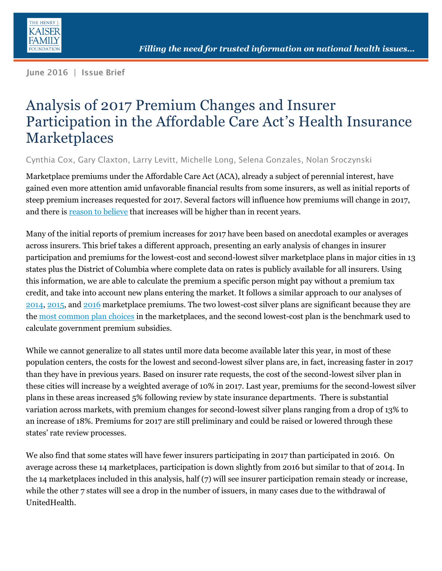

Iune 2016 | Issue Brief

# Analysis of 2017 Premium Changes and Insurer Participation in the Affordable Care Act's Health Insurance Marketplaces

Cynthia Cox, Gary Claxton, Larry Levitt, Michelle Long, Selena Gonzales, Nolan Sroczynski

Marketplace premiums under the Affordable Care Act (ACA), already a subject of perennial interest, have gained even more attention amid unfavorable financial results from some insurers, as well as initial reports of steep premium increases requested for 2017. Several factors will influence how premiums will change in 2017, and there is reason [to believe](http://kff.org/private-insurance/perspective/what-to-look-for-in-2017-aca-marketplace-premium-changes/) that increases will be higher than in recent years.

Many of the initial reports of premium increases for 2017 have been based on anecdotal examples or averages across insurers. This brief takes a different approach, presenting an early analysis of changes in insurer participation and premiums for the lowest-cost and second-lowest silver marketplace plans in major cities in 13 states plus the District of Columbia where complete data on rates is publicly available for all insurers. Using this information, we are able to calculate the premium a specific person might pay without a premium tax credit, and take into account new plans entering the market. It follows a similar approach to our analyses of [2014,](http://kff.org/health-reform/issue-brief/an-early-look-at-premiums-and-insurer-participation-in-health-insurance-marketplaces-2014/attachment/an-early-look-at-premiums-and-insurer-participation-in-health-insurance-marketplaces-2014-2/) [2015,](http://kff.org/health-reform/issue-brief/analysis-of-2015-premium-changes-in-the-affordable-care-acts-health-insurance-marketplaces/) and [2016](http://kff.org/health-reform/issue-brief/analysis-of-2016-premium-changes-and-insurer-participation-in-the-affordable-care-acts-health-insurance-marketplaces/) marketplace premiums. The two lowest-cost silver plans are significant because they are the [most common plan choices](https://aspe.hhs.gov/sites/default/files/pdf/135461/2016%20Marketplace%20Premium%20Landscape%20Issue%20Brief%2010-30-15%20FINAL.pdf) in the marketplaces, and the second lowest-cost plan is the benchmark used to calculate government premium subsidies.

While we cannot generalize to all states until more data become available later this year, in most of these population centers, the costs for the lowest and second-lowest silver plans are, in fact, increasing faster in 2017 than they have in previous years. Based on insurer rate requests, the cost of the second-lowest silver plan in these cities will increase by a weighted average of 10% in 2017. Last year, premiums for the second-lowest silver plans in these areas increased 5% following review by state insurance departments. There is substantial variation across markets, with premium changes for second-lowest silver plans ranging from a drop of 13% to an increase of 18%. Premiums for 2017 are still preliminary and could be raised or lowered through these states' rate review processes.

We also find that some states will have fewer insurers participating in 2017 than participated in 2016. On average across these 14 marketplaces, participation is down slightly from 2016 but similar to that of 2014. In the 14 marketplaces included in this analysis, half (7) will see insurer participation remain steady or increase, while the other 7 states will see a drop in the number of issuers, in many cases due to the withdrawal of UnitedHealth.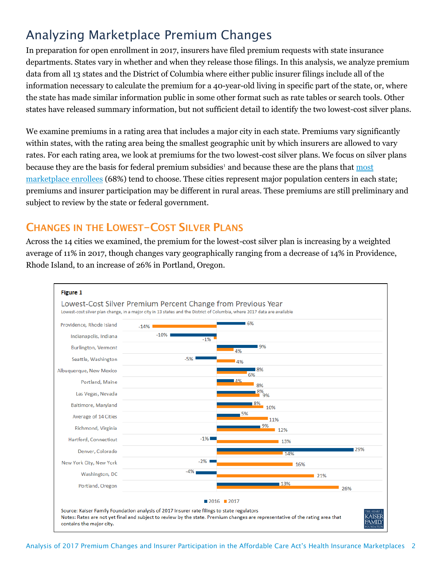## Analyzing Marketplace Premium Changes

In preparation for open enrollment in 2017, insurers have filed premium requests with state insurance departments. States vary in whether and when they release those filings. In this analysis, we analyze premium data from all 13 states and the District of Columbia where either public insurer filings include all of the information necessary to calculate the premium for a 40-year-old living in specific part of the state, or, where the state has made similar information public in some other format such as rate tables or search tools. Other states have released summary information, but not sufficient detail to identify the two lowest-cost silver plans.

We examine premiums in a rating area that includes a major city in each state. Premiums vary significantly within states, with the rating area being the smallest geographic unit by which insurers are allowed to vary rates. For each rating area, we look at premiums for the two lowest-cost silver plans. We focus on silver plans because they are the basis for federal premium subsidies<sup>1</sup> and because these are the plans that most [marketplace enrollees](http://kff.org/health-reform/state-indicator/marketplace-plan-selections-by-metal-level/) (68%) tend to choose. These cities represent major population centers in each state; premiums and insurer participation may be different in rural areas. These premiums are still preliminary and subject to review by the state or federal government.

### **CHANGES IN THE LOWEST-COST SILVER PLANS**

Across the 14 cities we examined, the premium for the lowest-cost silver plan is increasing by a weighted average of 11% in 2017, though changes vary geographically ranging from a decrease of 14% in Providence, Rhode Island, to an increase of 26% in Portland, Oregon.

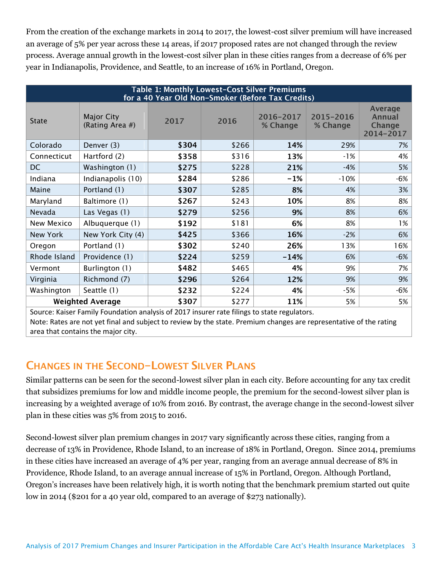From the creation of the exchange markets in 2014 to 2017, the lowest-cost silver premium will have increased an average of 5% per year across these 14 areas, if 2017 proposed rates are not changed through the review process. Average annual growth in the lowest-cost silver plan in these cities ranges from a decrease of 6% per year in Indianapolis, Providence, and Seattle, to an increase of 16% in Portland, Oregon.

| <b>Table 1: Monthly Lowest-Cost Silver Premiums</b><br>for a 40 Year Old Non-Smoker (Before Tax Credits) |                                      |       |       |                       |                       |                                                        |
|----------------------------------------------------------------------------------------------------------|--------------------------------------|-------|-------|-----------------------|-----------------------|--------------------------------------------------------|
| <b>State</b>                                                                                             | <b>Major City</b><br>(Rating Area #) | 2017  | 2016  | 2016-2017<br>% Change | 2015-2016<br>% Change | <b>Average</b><br><b>Annual</b><br>Change<br>2014-2017 |
| Colorado                                                                                                 | Denver (3)                           | \$304 | \$266 | 14%                   | 29%                   | 7%                                                     |
| Connecticut                                                                                              | Hartford (2)                         | \$358 | \$316 | 13%                   | $-1%$                 | 4%                                                     |
| <b>DC</b>                                                                                                | Washington (1)                       | \$275 | \$228 | 21%                   | $-4%$                 | 5%                                                     |
| Indiana                                                                                                  | Indianapolis (10)                    | \$284 | \$286 | $-1%$                 | $-10%$                | $-6%$                                                  |
| Maine                                                                                                    | Portland (1)                         | \$307 | \$285 | 8%                    | 4%                    | 3%                                                     |
| Maryland                                                                                                 | Baltimore (1)                        | \$267 | \$243 | 10%                   | 8%                    | 8%                                                     |
| Nevada                                                                                                   | Las Vegas (1)                        | \$279 | \$256 | 9%                    | 8%                    | 6%                                                     |
| New Mexico                                                                                               | Albuquerque (1)                      | \$192 | \$181 | 6%                    | 8%                    | 1%                                                     |
| New York                                                                                                 | New York City (4)                    | \$425 | \$366 | 16%                   | $-2%$                 | 6%                                                     |
| Oregon                                                                                                   | Portland (1)                         | \$302 | \$240 | 26%                   | 13%                   | 16%                                                    |
| Rhode Island                                                                                             | Providence (1)                       | \$224 | \$259 | $-14%$                | 6%                    | $-6%$                                                  |
| Vermont                                                                                                  | Burlington (1)                       | \$482 | \$465 | 4%                    | 9%                    | 7%                                                     |
| Virginia                                                                                                 | Richmond (7)                         | \$296 | \$264 | 12%                   | 9%                    | 9%                                                     |
| Washington                                                                                               | Seattle (1)                          | \$232 | \$224 | 4%                    | -5%                   | $-6%$                                                  |
| \$307<br>11%<br><b>Weighted Average</b><br>\$277<br>5%                                                   |                                      |       |       |                       | 5%                    |                                                        |

Source: Kaiser Family Foundation analysis of 2017 insurer rate filings to state regulators. Note: Rates are not yet final and subject to review by the state. Premium changes are representative of the rating area that contains the major city.

#### **CHANGES IN THE SECOND-LOWEST SILVER PLANS**

Similar patterns can be seen for the second-lowest silver plan in each city. Before accounting for any tax credit that subsidizes premiums for low and middle income people, the premium for the second-lowest silver plan is increasing by a weighted average of 10% from 2016. By contrast, the average change in the second-lowest silver plan in these cities was 5% from 2015 to 2016.

Second-lowest silver plan premium changes in 2017 vary significantly across these cities, ranging from a decrease of 13% in Providence, Rhode Island, to an increase of 18% in Portland, Oregon. Since 2014, premiums in these cities have increased an average of 4% per year, ranging from an average annual decrease of 8% in Providence, Rhode Island, to an average annual increase of 15% in Portland, Oregon. Although Portland, Oregon's increases have been relatively high, it is worth noting that the benchmark premium started out quite low in 2014 (\$201 for a 40 year old, compared to an average of \$273 nationally).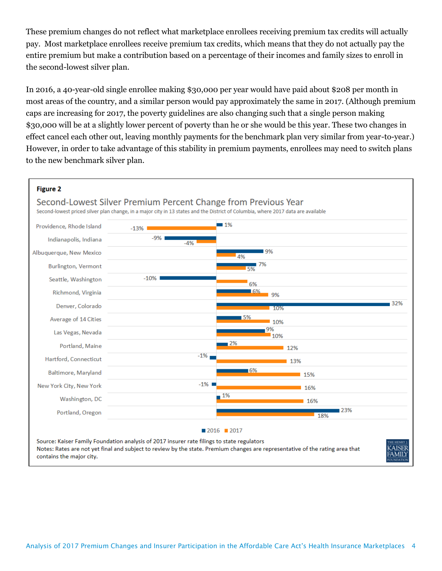These premium changes do not reflect what marketplace enrollees receiving premium tax credits will actually pay. Most marketplace enrollees receive premium tax credits, which means that they do not actually pay the entire premium but make a contribution based on a percentage of their incomes and family sizes to enroll in the second-lowest silver plan.

In 2016, a 40-year-old single enrollee making \$30,000 per year would have paid about \$208 per month in most areas of the country, and a similar person would pay approximately the same in 2017. (Although premium caps are increasing for 2017, the poverty guidelines are also changing such that a single person making \$30,000 will be at a slightly lower percent of poverty than he or she would be this year. These two changes in effect cancel each other out, leaving monthly payments for the benchmark plan very similar from year-to-year.) However, in order to take advantage of this stability in premium payments, enrollees may need to switch plans to the new benchmark silver plan.

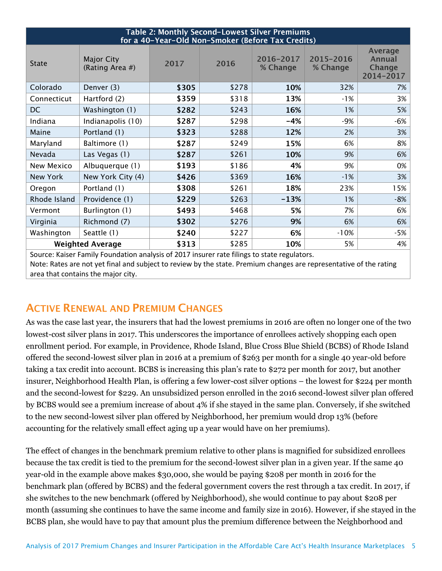| Table 2: Monthly Second-Lowest Silver Premiums                     |                                      |       |       |                       |                       |                                                 |
|--------------------------------------------------------------------|--------------------------------------|-------|-------|-----------------------|-----------------------|-------------------------------------------------|
| for a 40-Year-Old Non-Smoker (Before Tax Credits)                  |                                      |       |       |                       |                       |                                                 |
| <b>State</b>                                                       | <b>Major City</b><br>(Rating Area #) | 2017  | 2016  | 2016-2017<br>% Change | 2015-2016<br>% Change | <b>Average</b><br>Annual<br>Change<br>2014-2017 |
| Colorado                                                           | Denver (3)                           | \$305 | \$278 | 10%                   | 32%                   | 7%                                              |
| Connecticut                                                        | Hartford (2)                         | \$359 | \$318 | 13%                   | -1%                   | 3%                                              |
| <b>DC</b>                                                          | Washington (1)                       | \$282 | \$243 | 16%                   | $1\%$                 | 5%                                              |
| Indiana                                                            | Indianapolis (10)                    | \$287 | \$298 | $-4%$                 | $-9%$                 | $-6%$                                           |
| Maine                                                              | Portland (1)                         | \$323 | \$288 | 12%                   | 2%                    | 3%                                              |
| Maryland                                                           | Baltimore (1)                        | \$287 | \$249 | 15%                   | 6%                    | 8%                                              |
| Nevada                                                             | Las Vegas (1)                        | \$287 | \$261 | 10%                   | 9%                    | 6%                                              |
| New Mexico                                                         | Albuquerque (1)                      | \$193 | \$186 | 4%                    | 9%                    | 0%                                              |
| New York                                                           | New York City (4)                    | \$426 | \$369 | 16%                   | $-1%$                 | 3%                                              |
| Oregon                                                             | Portland (1)                         | \$308 | \$261 | 18%                   | 23%                   | 15%                                             |
| Rhode Island                                                       | Providence (1)                       | \$229 | \$263 | $-13%$                | 1%                    | $-8%$                                           |
| Vermont                                                            | Burlington (1)                       | \$493 | \$468 | 5%                    | 7%                    | 6%                                              |
| Virginia                                                           | Richmond (7)                         | \$302 | \$276 | 9%                    | 6%                    | 6%                                              |
| Washington                                                         | Seattle (1)                          | \$240 | \$227 | 6%                    | $-10%$                | $-5%$                                           |
| 10%<br><b>Weighted Average</b><br>\$313<br>\$285<br>5%<br>$\cdots$ |                                      |       |       |                       | 4%                    |                                                 |

Source: Kaiser Family Foundation analysis of 2017 insurer rate filings to state regulators. Note: Rates are not yet final and subject to review by the state. Premium changes are representative of the rating area that contains the major city.

#### **ACTIVE RENEWAL AND PREMIUM CHANGES**

As was the case last year, the insurers that had the lowest premiums in 2016 are often no longer one of the two lowest-cost silver plans in 2017. This underscores the importance of enrollees actively shopping each open enrollment period. For example, in Providence, Rhode Island, Blue Cross Blue Shield (BCBS) of Rhode Island offered the second-lowest silver plan in 2016 at a premium of \$263 per month for a single 40 year-old before taking a tax credit into account. BCBS is increasing this plan's rate to \$272 per month for 2017, but another insurer, Neighborhood Health Plan, is offering a few lower-cost silver options – the lowest for \$224 per month and the second-lowest for \$229. An unsubsidized person enrolled in the 2016 second-lowest silver plan offered by BCBS would see a premium increase of about 4% if she stayed in the same plan. Conversely, if she switched to the new second-lowest silver plan offered by Neighborhood, her premium would drop 13% (before accounting for the relatively small effect aging up a year would have on her premiums).

The effect of changes in the benchmark premium relative to other plans is magnified for subsidized enrollees because the tax credit is tied to the premium for the second-lowest silver plan in a given year. If the same 40 year-old in the example above makes \$30,000, she would be paying \$208 per month in 2016 for the benchmark plan (offered by BCBS) and the federal government covers the rest through a tax credit. In 2017, if she switches to the new benchmark (offered by Neighborhood), she would continue to pay about \$208 per month (assuming she continues to have the same income and family size in 2016). However, if she stayed in the BCBS plan, she would have to pay that amount plus the premium difference between the Neighborhood and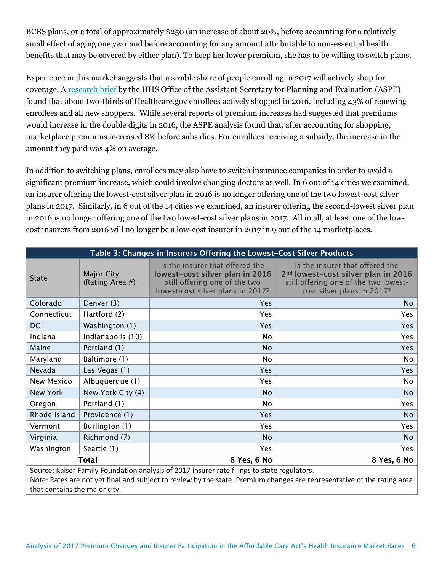BCBS plans, or a total of approximately \$250 (an increase of about 20%, before accounting for a relatively small effect of aging one year and before accounting for any amount attributable to non-essential health benefits that may be covered by either plan). To keep her lower premium, she has to be willing to switch plans.

Experience in this market suggests that a sizable share of people enrolling in 2017 will actively shop for coverage. A [research brief](https://aspe.hhs.gov/sites/default/files/pdf/198636/MarketplaceRate.pdf) by the HHS Office of the Assistant Secretary for Planning and Evaluation (ASPE) found that about two-thirds of Healthcare.gov enrollees actively shopped in 2016, including 43% of renewing enrollees and all new shoppers. While several reports of premium increases had suggested that premiums would increase in the double digits in 2016, the ASPE analysis found that, after accounting for shopping, marketplace premiums increased 8% before subsidies. For enrollees receiving a subsidy, the increase in the amount they paid was 4% on average.

In addition to switching plans, enrollees may also have to switch insurance companies in order to avoid a significant premium increase, which could involve changing doctors as well. In 6 out of 14 cities we examined, an insurer offering the lowest-cost silver plan in 2016 is no longer offering one of the two lowest-cost silver plans in 2017. Similarly, in 6 out of the 14 cities we examined, an insurer offering the second-lowest silver plan in 2016 is no longer offering one of the two lowest-cost silver plans in 2017. All in all, at least one of the lowcost insurers from 2016 will no longer be a low-cost insurer in 2017 in 9 out of the 14 marketplaces.

| Table 3: Changes in Insurers Offering the Lowest-Cost Silver Products                                                                                                                                                  |                                      |                                                                                                                                          |                                                                                                                                                           |  |  |
|------------------------------------------------------------------------------------------------------------------------------------------------------------------------------------------------------------------------|--------------------------------------|------------------------------------------------------------------------------------------------------------------------------------------|-----------------------------------------------------------------------------------------------------------------------------------------------------------|--|--|
| <b>State</b>                                                                                                                                                                                                           | <b>Major City</b><br>(Rating Area #) | Is the insurer that offered the<br>lowest-cost silver plan in 2016<br>still offering one of the two<br>lowest-cost silver plans in 2017? | Is the insurer that offered the<br>2 <sup>nd</sup> lowest-cost silver plan in 2016<br>still offering one of the two lowest-<br>cost silver plans in 2017? |  |  |
| Colorado                                                                                                                                                                                                               | Denver (3)                           | <b>Yes</b>                                                                                                                               | No                                                                                                                                                        |  |  |
| Connecticut                                                                                                                                                                                                            | Hartford (2)                         | Yes                                                                                                                                      | <b>Yes</b>                                                                                                                                                |  |  |
| <b>DC</b>                                                                                                                                                                                                              | Washington (1)                       | <b>Yes</b>                                                                                                                               | <b>Yes</b>                                                                                                                                                |  |  |
| Indiana                                                                                                                                                                                                                | Indianapolis (10)                    | <b>No</b>                                                                                                                                | Yes                                                                                                                                                       |  |  |
| Maine                                                                                                                                                                                                                  | Portland (1)                         | <b>No</b>                                                                                                                                | <b>Yes</b>                                                                                                                                                |  |  |
| Maryland                                                                                                                                                                                                               | Baltimore (1)                        | No                                                                                                                                       | No.                                                                                                                                                       |  |  |
| Nevada                                                                                                                                                                                                                 | Las Vegas (1)                        | <b>Yes</b>                                                                                                                               | <b>Yes</b>                                                                                                                                                |  |  |
| New Mexico                                                                                                                                                                                                             | Albuquerque (1)                      | Yes                                                                                                                                      | N <sub>o</sub>                                                                                                                                            |  |  |
| New York                                                                                                                                                                                                               | New York City (4)                    | <b>No</b>                                                                                                                                | <b>No</b>                                                                                                                                                 |  |  |
| Oregon                                                                                                                                                                                                                 | Portland (1)                         | <b>No</b>                                                                                                                                | <b>Yes</b>                                                                                                                                                |  |  |
| Rhode Island                                                                                                                                                                                                           | Providence (1)                       | Yes                                                                                                                                      | <b>No</b>                                                                                                                                                 |  |  |
| Vermont                                                                                                                                                                                                                | Burlington (1)                       | <b>Yes</b>                                                                                                                               | <b>Yes</b>                                                                                                                                                |  |  |
| Virginia                                                                                                                                                                                                               | Richmond (7)                         | <b>No</b>                                                                                                                                | No.                                                                                                                                                       |  |  |
| Washington                                                                                                                                                                                                             | Seattle (1)                          | Yes                                                                                                                                      | Yes                                                                                                                                                       |  |  |
| Total                                                                                                                                                                                                                  |                                      | 8 Yes, 6 No                                                                                                                              | 8 Yes, 6 No                                                                                                                                               |  |  |
| Source: Kaiser Family Foundation analysis of 2017 insurer rate filings to state regulators.<br>Note: Rates are not yet final and subject to review by the state. Premium changes are representative of the rating area |                                      |                                                                                                                                          |                                                                                                                                                           |  |  |
| that contains the major city.                                                                                                                                                                                          |                                      |                                                                                                                                          |                                                                                                                                                           |  |  |

Analysis of 2017 Premium Changes and Insurer Participation in the Affordable Care Act's Health Insurance Marketplaces 6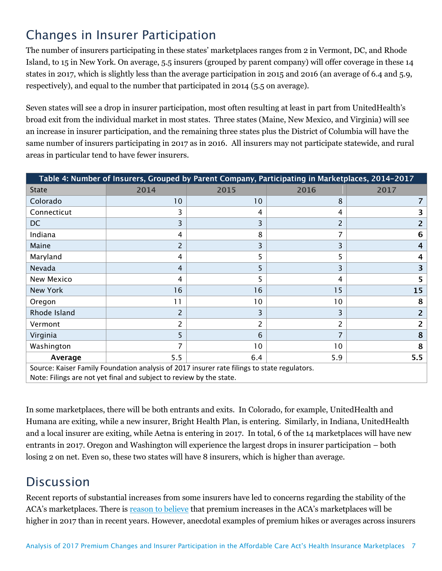## Changes in Insurer Participation

The number of insurers participating in these states' marketplaces ranges from 2 in Vermont, DC, and Rhode Island, to 15 in New York. On average, 5.5 insurers (grouped by parent company) will offer coverage in these 14 states in 2017, which is slightly less than the average participation in 2015 and 2016 (an average of 6.4 and 5.9, respectively), and equal to the number that participated in 2014 (5.5 on average).

Seven states will see a drop in insurer participation, most often resulting at least in part from UnitedHealth's broad exit from the individual market in most states. Three states (Maine, New Mexico, and Virginia) will see an increase in insurer participation, and the remaining three states plus the District of Columbia will have the same number of insurers participating in 2017 as in 2016. All insurers may not participate statewide, and rural areas in particular tend to have fewer insurers.

| Table 4: Number of Insurers, Grouped by Parent Company, Participating in Marketplaces, 2014-2017                                                                   |      |                 |      |      |  |
|--------------------------------------------------------------------------------------------------------------------------------------------------------------------|------|-----------------|------|------|--|
| <b>State</b>                                                                                                                                                       | 2014 | 2015            | 2016 | 2017 |  |
| Colorado                                                                                                                                                           | 10   | 10              | 8    |      |  |
| Connecticut                                                                                                                                                        | 3    | 4               | 4    | 3    |  |
| <b>DC</b>                                                                                                                                                          | 3    |                 | 2    | 2    |  |
| Indiana                                                                                                                                                            | 4    | 8               |      | 6    |  |
| Maine                                                                                                                                                              | 2    |                 | 3    | 4    |  |
| Maryland                                                                                                                                                           | 4    | 5               | 5    | 4    |  |
| Nevada                                                                                                                                                             | 4    | 5               | 3    | 3    |  |
| New Mexico                                                                                                                                                         | 4    | 5               | 4    | 5    |  |
| New York                                                                                                                                                           | 16   | 16              | 15   | 15   |  |
| Oregon                                                                                                                                                             | 11   | 10              | 10   | 8    |  |
| Rhode Island                                                                                                                                                       | 2    |                 | 3    | 2    |  |
| Vermont                                                                                                                                                            | 2    |                 | 2    | 2    |  |
| Virginia                                                                                                                                                           | 5.   | 6               |      | 8    |  |
| Washington                                                                                                                                                         |      | 10 <sup>°</sup> | 10   | 8    |  |
| Average                                                                                                                                                            | 5.5  | 6.4             | 5.9  | 5.5  |  |
| Source: Kaiser Family Foundation analysis of 2017 insurer rate filings to state regulators.<br>Note: Filings are not yet final and subject to review by the state. |      |                 |      |      |  |

In some marketplaces, there will be both entrants and exits. In Colorado, for example, UnitedHealth and Humana are exiting, while a new insurer, Bright Health Plan, is entering. Similarly, in Indiana, UnitedHealth and a local insurer are exiting, while Aetna is entering in 2017. In total, 6 of the 14 marketplaces will have new entrants in 2017. Oregon and Washington will experience the largest drops in insurer participation – both losing 2 on net. Even so, these two states will have 8 insurers, which is higher than average.

## **Discussion**

Recent reports of substantial increases from some insurers have led to concerns regarding the stability of the ACA's marketplaces. There is [reason to believe](http://kff.org/private-insurance/perspective/what-to-look-for-in-2017-aca-marketplace-premium-changes/) that premium increases in the ACA's marketplaces will be higher in 2017 than in recent years. However, anecdotal examples of premium hikes or averages across insurers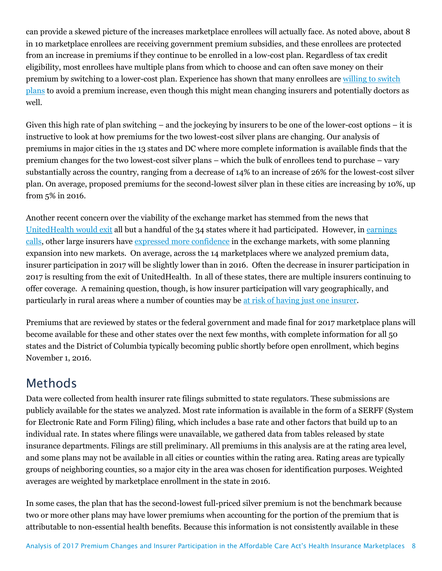can provide a skewed picture of the increases marketplace enrollees will actually face. As noted above, about 8 in 10 marketplace enrollees are receiving government premium subsidies, and these enrollees are protected from an increase in premiums if they continue to be enrolled in a low-cost plan. Regardless of tax credit eligibility, most enrollees have multiple plans from which to choose and can often save money on their premium by switching to a lower-cost plan. Experience has shown that many enrollees are [willing to switch](https://aspe.hhs.gov/sites/default/files/pdf/172176/2016HealthInsurance.pdf)  [plans](https://aspe.hhs.gov/sites/default/files/pdf/172176/2016HealthInsurance.pdf) to avoid a premium increase, even though this might mean changing insurers and potentially doctors as well.

Given this high rate of plan switching – and the jockeying by insurers to be one of the lower-cost options – it is instructive to look at how premiums for the two lowest-cost silver plans are changing. Our analysis of premiums in major cities in the 13 states and DC where more complete information is available finds that the premium changes for the two lowest-cost silver plans – which the bulk of enrollees tend to purchase – vary substantially across the country, ranging from a decrease of 14% to an increase of 26% for the lowest-cost silver plan. On average, proposed premiums for the second-lowest silver plan in these cities are increasing by 10%, up from 5% in 2016.

Another recent concern over the viability of the exchange market has stemmed from the news that [UnitedHealth would exit](http://kff.org/health-reform/issue-brief/analysis-of-unitedhealth-groups-premiums-and-participation-in-aca-marketplaces/) all but a handful of the 34 states where it had participated. However, in [earnings](http://www.commonwealthfund.org/publications/blog/2016/jun/beyond-unitedhealthcare-how-insurers-faring-on-marketplaces)  [calls,](http://www.commonwealthfund.org/publications/blog/2016/jun/beyond-unitedhealthcare-how-insurers-faring-on-marketplaces) other large insurers have [expressed more confidence](https://newsatjama.jama.com/2016/04/26/jama-forum-reports-of-obamacares-demise-are-greatly-exaggerated/) in the exchange markets, with some planning expansion into new markets. On average, across the 14 marketplaces where we analyzed premium data, insurer participation in 2017 will be slightly lower than in 2016. Often the decrease in insurer participation in 2017 is resulting from the exit of UnitedHealth. In all of these states, there are multiple insurers continuing to offer coverage. A remaining question, though, is how insurer participation will vary geographically, and particularly in rural areas where a number of counties may be [at risk of having just one insurer.](http://kff.org/health-reform/slide/following-withdrawals-by-some-marketplace-insurers-more-counties-could-have-one-exchange-insurer-in-2017/)

Premiums that are reviewed by states or the federal government and made final for 2017 marketplace plans will become available for these and other states over the next few months, with complete information for all 50 states and the District of Columbia typically becoming public shortly before open enrollment, which begins November 1, 2016.

### Methods

Data were collected from health insurer rate filings submitted to state regulators. These submissions are publicly available for the states we analyzed. Most rate information is available in the form of a SERFF (System for Electronic Rate and Form Filing) filing, which includes a base rate and other factors that build up to an individual rate. In states where filings were unavailable, we gathered data from tables released by state insurance departments. Filings are still preliminary. All premiums in this analysis are at the rating area level, and some plans may not be available in all cities or counties within the rating area. Rating areas are typically groups of neighboring counties, so a major city in the area was chosen for identification purposes. Weighted averages are weighted by marketplace enrollment in the state in 2016.

In some cases, the plan that has the second-lowest full-priced silver premium is not the benchmark because two or more other plans may have lower premiums when accounting for the portion of the premium that is attributable to non-essential health benefits. Because this information is not consistently available in these